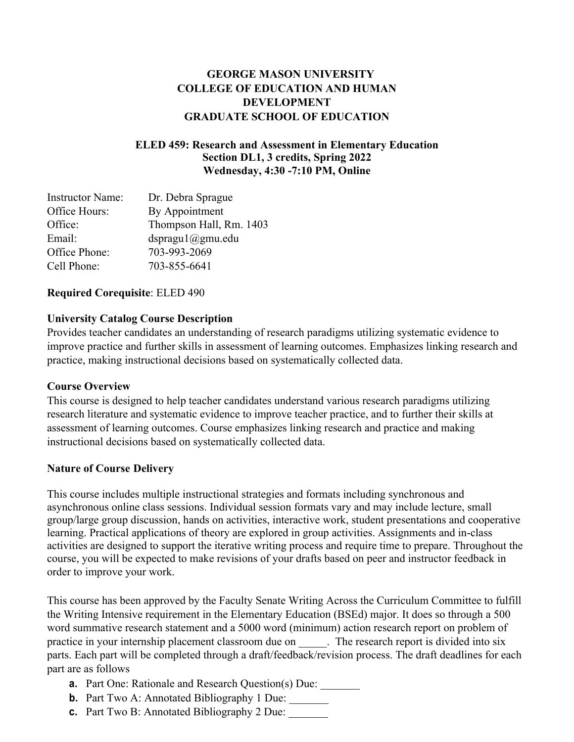### **GEORGE MASON UNIVERSITY COLLEGE OF EDUCATION AND HUMAN DEVELOPMENT GRADUATE SCHOOL OF EDUCATION**

#### **ELED 459: Research and Assessment in Elementary Education Section DL1, 3 credits, Spring 2022 Wednesday, 4:30 -7:10 PM, Online**

| <b>Instructor Name:</b> | Dr. Debra Sprague       |
|-------------------------|-------------------------|
| Office Hours:           | By Appointment          |
| Office:                 | Thompson Hall, Rm. 1403 |
| Email:                  | dspragu1@gmu.edu        |
| Office Phone:           | 703-993-2069            |
| Cell Phone:             | 703-855-6641            |

#### **Required Corequisite**: ELED 490

#### **University Catalog Course Description**

Provides teacher candidates an understanding of research paradigms utilizing systematic evidence to improve practice and further skills in assessment of learning outcomes. Emphasizes linking research and practice, making instructional decisions based on systematically collected data.

#### **Course Overview**

This course is designed to help teacher candidates understand various research paradigms utilizing research literature and systematic evidence to improve teacher practice, and to further their skills at assessment of learning outcomes. Course emphasizes linking research and practice and making instructional decisions based on systematically collected data.

### **Nature of Course Delivery**

This course includes multiple instructional strategies and formats including synchronous and asynchronous online class sessions. Individual session formats vary and may include lecture, small group/large group discussion, hands on activities, interactive work, student presentations and cooperative learning. Practical applications of theory are explored in group activities. Assignments and in-class activities are designed to support the iterative writing process and require time to prepare. Throughout the course, you will be expected to make revisions of your drafts based on peer and instructor feedback in order to improve your work.

This course has been approved by the Faculty Senate Writing Across the Curriculum Committee to fulfill the Writing Intensive requirement in the Elementary Education (BSEd) major. It does so through a 500 word summative research statement and a 5000 word (minimum) action research report on problem of practice in your internship placement classroom due on . The research report is divided into six parts. Each part will be completed through a draft/feedback/revision process. The draft deadlines for each part are as follows

- **a.** Part One: Rationale and Research Question(s) Due: \_\_\_\_\_\_\_
- **b.** Part Two A: Annotated Bibliography 1 Due:
- **c.** Part Two B: Annotated Bibliography 2 Due: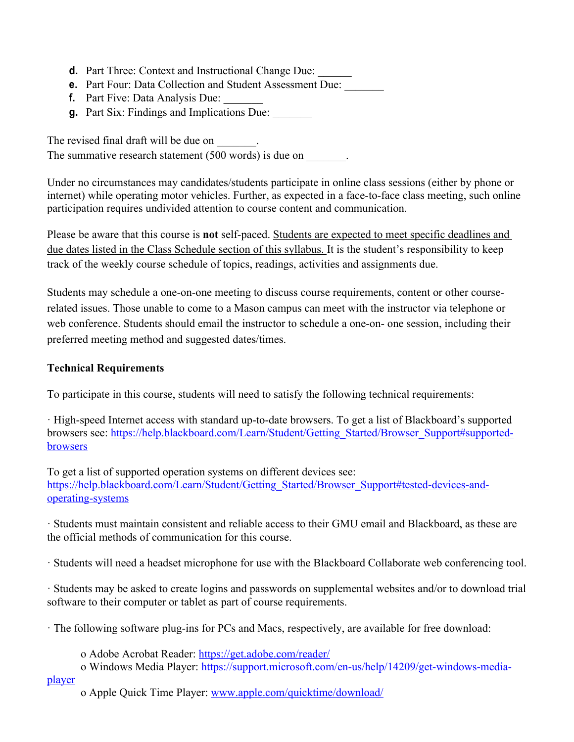- **d.** Part Three: Context and Instructional Change Due:
- **e.** Part Four: Data Collection and Student Assessment Due:
- **f.** Part Five: Data Analysis Due:
- **g.** Part Six: Findings and Implications Due:

The revised final draft will be due on  $\qquad \qquad$ . The summative research statement (500 words) is due on  $\qquad \qquad$ .

Under no circumstances may candidates/students participate in online class sessions (either by phone or internet) while operating motor vehicles. Further, as expected in a face-to-face class meeting, such online participation requires undivided attention to course content and communication.

Please be aware that this course is **not** self-paced. Students are expected to meet specific deadlines and due dates listed in the Class Schedule section of this syllabus. It is the student's responsibility to keep track of the weekly course schedule of topics, readings, activities and assignments due.

Students may schedule a one-on-one meeting to discuss course requirements, content or other courserelated issues. Those unable to come to a Mason campus can meet with the instructor via telephone or web conference. Students should email the instructor to schedule a one-on- one session, including their preferred meeting method and suggested dates/times.

### **Technical Requirements**

To participate in this course, students will need to satisfy the following technical requirements:

· High-speed Internet access with standard up-to-date browsers. To get a list of Blackboard's supported browsers see: https://help.blackboard.com/Learn/Student/Getting\_Started/Browser\_Support#supportedbrowsers

To get a list of supported operation systems on different devices see: https://help.blackboard.com/Learn/Student/Getting\_Started/Browser\_Support#tested-devices-andoperating-systems

· Students must maintain consistent and reliable access to their GMU email and Blackboard, as these are the official methods of communication for this course.

· Students will need a headset microphone for use with the Blackboard Collaborate web conferencing tool.

· Students may be asked to create logins and passwords on supplemental websites and/or to download trial software to their computer or tablet as part of course requirements.

· The following software plug-ins for PCs and Macs, respectively, are available for free download:

o Adobe Acrobat Reader: https://get.adobe.com/reader/

o Windows Media Player: https://support.microsoft.com/en-us/help/14209/get-windows-media-

player

o Apple Quick Time Player: www.apple.com/quicktime/download/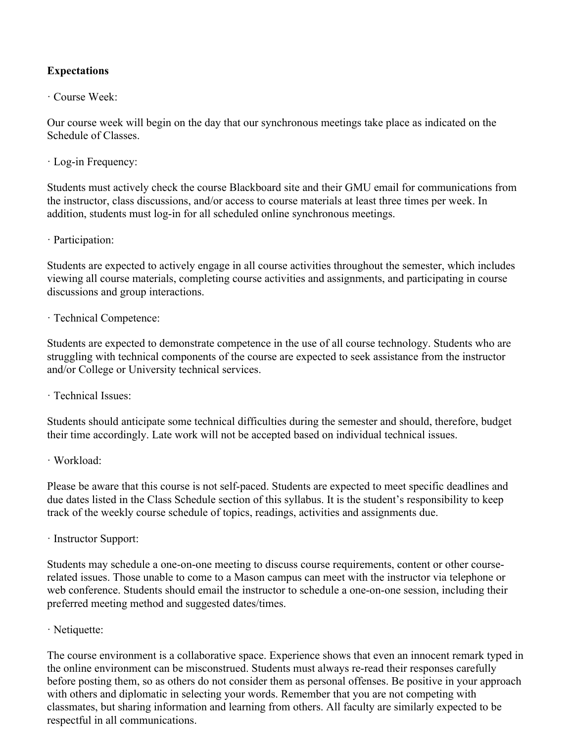### **Expectations**

#### · Course Week:

Our course week will begin on the day that our synchronous meetings take place as indicated on the Schedule of Classes.

· Log-in Frequency:

Students must actively check the course Blackboard site and their GMU email for communications from the instructor, class discussions, and/or access to course materials at least three times per week. In addition, students must log-in for all scheduled online synchronous meetings.

· Participation:

Students are expected to actively engage in all course activities throughout the semester, which includes viewing all course materials, completing course activities and assignments, and participating in course discussions and group interactions.

· Technical Competence:

Students are expected to demonstrate competence in the use of all course technology. Students who are struggling with technical components of the course are expected to seek assistance from the instructor and/or College or University technical services.

· Technical Issues:

Students should anticipate some technical difficulties during the semester and should, therefore, budget their time accordingly. Late work will not be accepted based on individual technical issues.

· Workload:

Please be aware that this course is not self-paced. Students are expected to meet specific deadlines and due dates listed in the Class Schedule section of this syllabus. It is the student's responsibility to keep track of the weekly course schedule of topics, readings, activities and assignments due.

· Instructor Support:

Students may schedule a one-on-one meeting to discuss course requirements, content or other courserelated issues. Those unable to come to a Mason campus can meet with the instructor via telephone or web conference. Students should email the instructor to schedule a one-on-one session, including their preferred meeting method and suggested dates/times.

· Netiquette:

The course environment is a collaborative space. Experience shows that even an innocent remark typed in the online environment can be misconstrued. Students must always re-read their responses carefully before posting them, so as others do not consider them as personal offenses. Be positive in your approach with others and diplomatic in selecting your words. Remember that you are not competing with classmates, but sharing information and learning from others. All faculty are similarly expected to be respectful in all communications.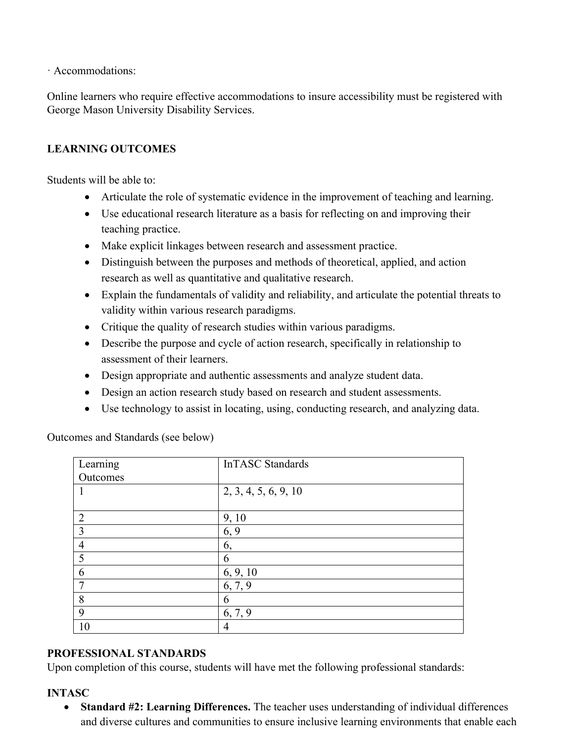· Accommodations:

Online learners who require effective accommodations to insure accessibility must be registered with George Mason University Disability Services.

### **LEARNING OUTCOMES**

Students will be able to:

- Articulate the role of systematic evidence in the improvement of teaching and learning.
- Use educational research literature as a basis for reflecting on and improving their teaching practice.
- Make explicit linkages between research and assessment practice.
- Distinguish between the purposes and methods of theoretical, applied, and action research as well as quantitative and qualitative research.
- Explain the fundamentals of validity and reliability, and articulate the potential threats to validity within various research paradigms.
- Critique the quality of research studies within various paradigms.
- Describe the purpose and cycle of action research, specifically in relationship to assessment of their learners.
- Design appropriate and authentic assessments and analyze student data.
- Design an action research study based on research and student assessments.
- Use technology to assist in locating, using, conducting research, and analyzing data.

Outcomes and Standards (see below)

| Learning       | InTASC Standards     |
|----------------|----------------------|
| Outcomes       |                      |
|                | 2, 3, 4, 5, 6, 9, 10 |
|                |                      |
| 2              | 9, 10                |
| $\overline{3}$ | 6, 9                 |
| $\overline{4}$ | 6,                   |
| $\overline{5}$ | 6                    |
| 6              | 6, 9, 10             |
| 7              | 6, 7, 9              |
| 8              | 6                    |
| 9              | 6, 7, 9              |
| 10             | 4                    |

### **PROFESSIONAL STANDARDS**

Upon completion of this course, students will have met the following professional standards:

#### **INTASC**

• **Standard #2: Learning Differences.** The teacher uses understanding of individual differences and diverse cultures and communities to ensure inclusive learning environments that enable each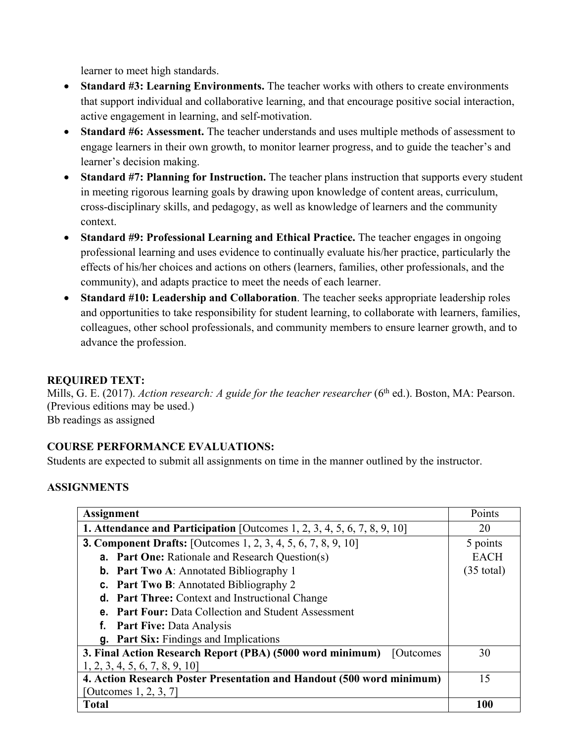learner to meet high standards.

- **Standard #3: Learning Environments.** The teacher works with others to create environments that support individual and collaborative learning, and that encourage positive social interaction, active engagement in learning, and self-motivation.
- **Standard #6: Assessment.** The teacher understands and uses multiple methods of assessment to engage learners in their own growth, to monitor learner progress, and to guide the teacher's and learner's decision making.
- **Standard #7: Planning for Instruction.** The teacher plans instruction that supports every student in meeting rigorous learning goals by drawing upon knowledge of content areas, curriculum, cross-disciplinary skills, and pedagogy, as well as knowledge of learners and the community context.
- **Standard #9: Professional Learning and Ethical Practice.** The teacher engages in ongoing professional learning and uses evidence to continually evaluate his/her practice, particularly the effects of his/her choices and actions on others (learners, families, other professionals, and the community), and adapts practice to meet the needs of each learner.
- **Standard #10: Leadership and Collaboration**. The teacher seeks appropriate leadership roles and opportunities to take responsibility for student learning, to collaborate with learners, families, colleagues, other school professionals, and community members to ensure learner growth, and to advance the profession.

### **REQUIRED TEXT:**

Mills, G. E. (2017). *Action research: A guide for the teacher researcher* (6<sup>th</sup> ed.). Boston, MA: Pearson. (Previous editions may be used.) Bb readings as assigned

### **COURSE PERFORMANCE EVALUATIONS:**

Students are expected to submit all assignments on time in the manner outlined by the instructor.

### **ASSIGNMENTS**

| <b>Assignment</b>                                                                  | Points               |
|------------------------------------------------------------------------------------|----------------------|
| <b>1. Attendance and Participation</b> [Outcomes $1, 2, 3, 4, 5, 6, 7, 8, 9, 10$ ] | 20                   |
| <b>3. Component Drafts:</b> [Outcomes 1, 2, 3, 4, 5, 6, 7, 8, 9, 10]               | 5 points             |
| <b>a.</b> Part One: Rationale and Research Question(s)                             | <b>EACH</b>          |
| <b>b.</b> Part Two A: Annotated Bibliography 1                                     | $(35 \text{ total})$ |
| <b>c.</b> Part Two B: Annotated Bibliography 2                                     |                      |
| <b>d.</b> Part Three: Context and Instructional Change                             |                      |
| <b>e.</b> Part Four: Data Collection and Student Assessment                        |                      |
| <b>Part Five: Data Analysis</b><br>f.                                              |                      |
| g. Part Six: Findings and Implications                                             |                      |
| 3. Final Action Research Report (PBA) (5000 word minimum)<br><b>Outcomes</b>       | 30                   |
| 1, 2, 3, 4, 5, 6, 7, 8, 9, 10                                                      |                      |
| 4. Action Research Poster Presentation and Handout (500 word minimum)              | 15                   |
| [Outcomes 1, 2, 3, 7]                                                              |                      |
| Total                                                                              | 100                  |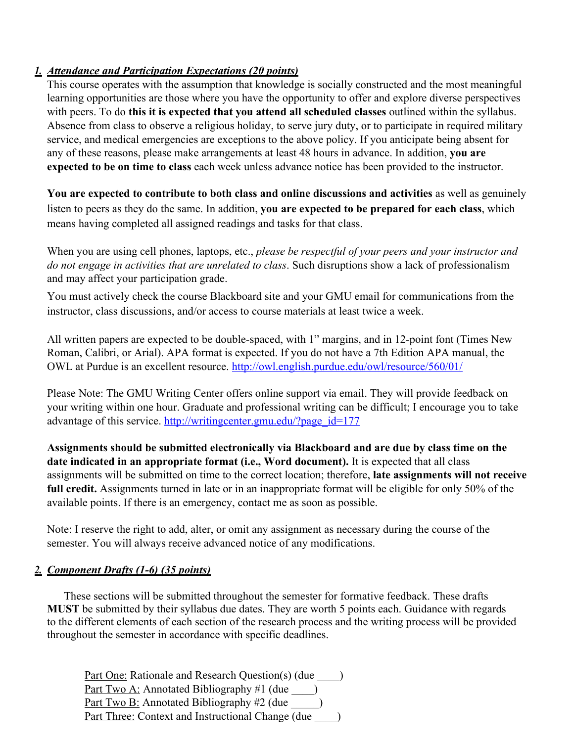### *1. Attendance and Participation Expectations (20 points)*

This course operates with the assumption that knowledge is socially constructed and the most meaningful learning opportunities are those where you have the opportunity to offer and explore diverse perspectives with peers. To do **this it is expected that you attend all scheduled classes** outlined within the syllabus. Absence from class to observe a religious holiday, to serve jury duty, or to participate in required military service, and medical emergencies are exceptions to the above policy. If you anticipate being absent for any of these reasons, please make arrangements at least 48 hours in advance. In addition, **you are expected to be on time to class** each week unless advance notice has been provided to the instructor.

**You are expected to contribute to both class and online discussions and activities** as well as genuinely listen to peers as they do the same. In addition, **you are expected to be prepared for each class**, which means having completed all assigned readings and tasks for that class.

When you are using cell phones, laptops, etc., *please be respectful of your peers and your instructor and do not engage in activities that are unrelated to class*. Such disruptions show a lack of professionalism and may affect your participation grade.

You must actively check the course Blackboard site and your GMU email for communications from the instructor, class discussions, and/or access to course materials at least twice a week.

All written papers are expected to be double-spaced, with 1" margins, and in 12-point font (Times New Roman, Calibri, or Arial). APA format is expected. If you do not have a 7th Edition APA manual, the OWL at Purdue is an excellent resource. http://owl.english.purdue.edu/owl/resource/560/01/

Please Note: The GMU Writing Center offers online support via email. They will provide feedback on your writing within one hour. Graduate and professional writing can be difficult; I encourage you to take advantage of this service. http://writingcenter.gmu.edu/?page\_id=177

**Assignments should be submitted electronically via Blackboard and are due by class time on the date indicated in an appropriate format (i.e., Word document).** It is expected that all class assignments will be submitted on time to the correct location; therefore, **late assignments will not receive full credit.** Assignments turned in late or in an inappropriate format will be eligible for only 50% of the available points. If there is an emergency, contact me as soon as possible.

Note: I reserve the right to add, alter, or omit any assignment as necessary during the course of the semester. You will always receive advanced notice of any modifications.

### *2. Component Drafts (1-6) (35 points)*

 These sections will be submitted throughout the semester for formative feedback. These drafts  **MUST** be submitted by their syllabus due dates. They are worth 5 points each. Guidance with regards to the different elements of each section of the research process and the writing process will be provided throughout the semester in accordance with specific deadlines.

Part One: Rationale and Research Question(s) (due  $\qquad$  ) <u>Part Two A:</u> Annotated Bibliography #1 (due  $\qquad$  ) <u>Part Two B:</u> Annotated Bibliography  $\#2$  (due  $\qquad \qquad$  ) Part Three: Context and Instructional Change (due )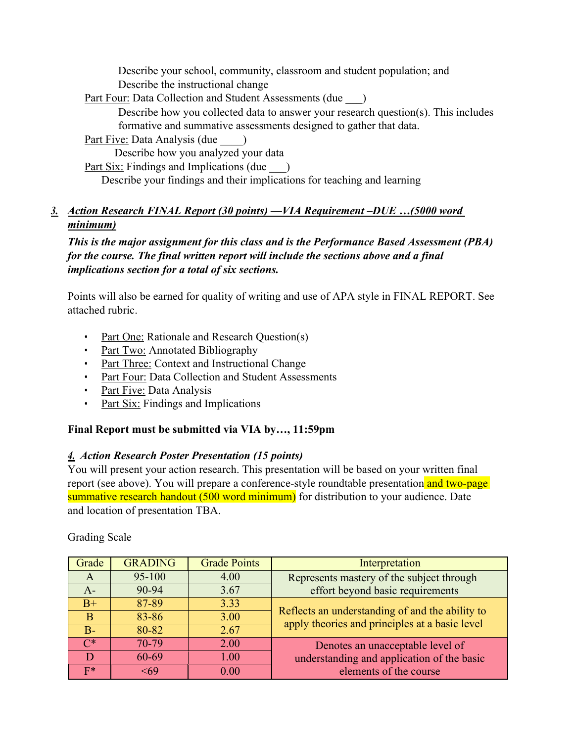Describe your school, community, classroom and student population; and Describe the instructional change

Part Four: Data Collection and Student Assessments (due )

Describe how you collected data to answer your research question(s). This includes formative and summative assessments designed to gather that data.

Part Five: Data Analysis (due )

Describe how you analyzed your data

Part Six: Findings and Implications (due )

Describe your findings and their implications for teaching and learning

## *3. Action Research FINAL Report (30 points) —VIA Requirement –DUE …(5000 word minimum)*

*This is the major assignment for this class and is the Performance Based Assessment (PBA) for the course. The final written report will include the sections above and a final implications section for a total of six sections.*

Points will also be earned for quality of writing and use of APA style in FINAL REPORT. See attached rubric.

- Part One: Rationale and Research Question(s)
- Part Two: Annotated Bibliography
- Part Three: Context and Instructional Change
- Part Four: Data Collection and Student Assessments
- Part Five: Data Analysis
- Part Six: Findings and Implications

## **Final Report must be submitted via VIA by…, 11:59pm**

### *4. Action Research Poster Presentation (15 points)*

You will present your action research. This presentation will be based on your written final report (see above). You will prepare a conference-style roundtable presentation and two-page summative research handout (500 word minimum) for distribution to your audience. Date and location of presentation TBA.

Grading Scale

| Grade        | <b>GRADING</b> | <b>Grade Points</b> | Interpretation                                                                                    |  |
|--------------|----------------|---------------------|---------------------------------------------------------------------------------------------------|--|
| A            | 95-100         | 4.00                | Represents mastery of the subject through                                                         |  |
| $A-$         | 90-94          | 3.67                | effort beyond basic requirements                                                                  |  |
| $B+$         | 87-89          | 3.33                |                                                                                                   |  |
| <sup>B</sup> | 83-86          | 3.00                | Reflects an understanding of and the ability to<br>apply theories and principles at a basic level |  |
| B-           | 80-82          | 2.67                |                                                                                                   |  |
| ∩*           | 70-79          | 2.00                | Denotes an unacceptable level of                                                                  |  |
|              | 60-69          | 1.00                | understanding and application of the basic                                                        |  |
| $F^*$        | 569            | 0.00                | elements of the course                                                                            |  |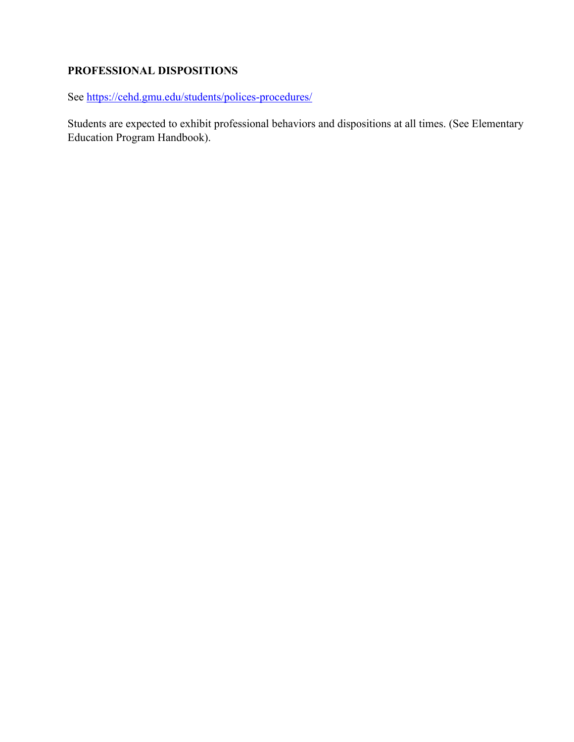# **PROFESSIONAL DISPOSITIONS**

See https://cehd.gmu.edu/students/polices-procedures/

Students are expected to exhibit professional behaviors and dispositions at all times. (See Elementary Education Program Handbook).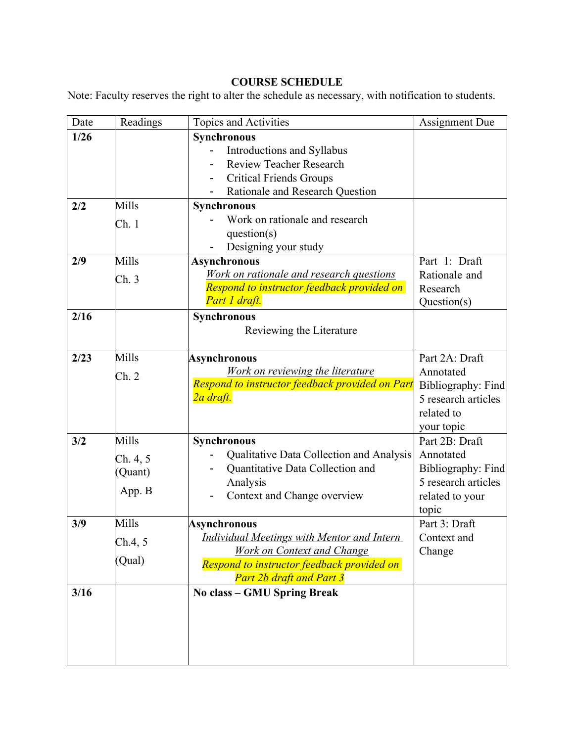# **COURSE SCHEDULE**

Note: Faculty reserves the right to alter the schedule as necessary, with notification to students.

| Date   | Readings                      | Topics and Activities                                                                                                                            | <b>Assignment Due</b>                                                              |
|--------|-------------------------------|--------------------------------------------------------------------------------------------------------------------------------------------------|------------------------------------------------------------------------------------|
|        |                               |                                                                                                                                                  |                                                                                    |
| $1/26$ |                               | Synchronous<br>Introductions and Syllabus<br><b>Review Teacher Research</b><br><b>Critical Friends Groups</b><br>Rationale and Research Question |                                                                                    |
| 2/2    | Mills                         | <b>Synchronous</b>                                                                                                                               |                                                                                    |
|        | Ch.1                          | Work on rationale and research<br>question(s)<br>Designing your study                                                                            |                                                                                    |
| 2/9    | Mills                         | <b>Asynchronous</b>                                                                                                                              | Part 1: Draft                                                                      |
|        | Ch.3                          | Work on rationale and research questions<br>Respond to instructor feedback provided on<br>Part 1 draft.                                          | Rationale and<br>Research<br>Question(s)                                           |
| 2/16   |                               | Synchronous<br>Reviewing the Literature                                                                                                          |                                                                                    |
| 2/23   | Mills                         | <b>Asynchronous</b>                                                                                                                              | Part 2A: Draft                                                                     |
|        | Ch. 2                         | Work on reviewing the literature<br>Respond to instructor feedback provided on Part<br>2a draft.                                                 | Annotated<br>Bibliography: Find<br>5 research articles<br>related to<br>your topic |
| 3/2    | Mills                         | <b>Synchronous</b>                                                                                                                               | Part 2B: Draft                                                                     |
|        | Ch. 4, 5<br>(Quant)<br>App. B | Qualitative Data Collection and Analysis<br>Quantitative Data Collection and<br>Analysis<br>Context and Change overview                          | Annotated<br>Bibliography: Find<br>5 research articles<br>related to your<br>topic |
| 3/9    | Mills                         | <b>Asynchronous</b>                                                                                                                              | Part 3: Draft                                                                      |
|        | Ch.4, 5                       | <b>Individual Meetings with Mentor and Intern</b>                                                                                                | Context and                                                                        |
|        | (Qual)                        | <b>Work on Context and Change</b><br>Respond to instructor feedback provided on<br><b>Part 2b draft and Part 3</b>                               | Change                                                                             |
| 3/16   |                               | No class - GMU Spring Break                                                                                                                      |                                                                                    |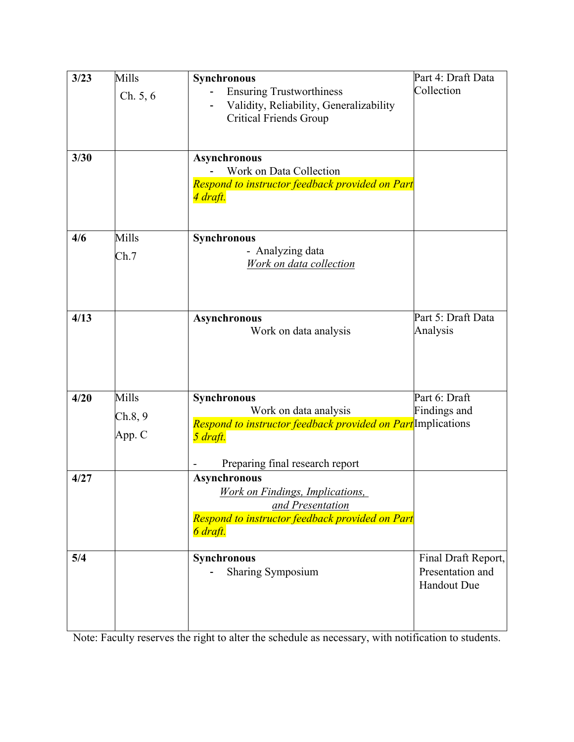| Collection<br><b>Ensuring Trustworthiness</b><br>Ch. 5, 6<br>Validity, Reliability, Generalizability<br><b>Critical Friends Group</b> |                     |
|---------------------------------------------------------------------------------------------------------------------------------------|---------------------|
|                                                                                                                                       |                     |
|                                                                                                                                       |                     |
|                                                                                                                                       |                     |
|                                                                                                                                       |                     |
| 3/30<br><b>Asynchronous</b>                                                                                                           |                     |
| Work on Data Collection                                                                                                               |                     |
| Respond to instructor feedback provided on Part<br>4 draft.                                                                           |                     |
|                                                                                                                                       |                     |
| Mills<br>4/6<br>Synchronous                                                                                                           |                     |
| - Analyzing data                                                                                                                      |                     |
| Ch.7<br>Work on data collection                                                                                                       |                     |
|                                                                                                                                       |                     |
|                                                                                                                                       |                     |
| 4/13<br><b>Asynchronous</b>                                                                                                           | Part 5: Draft Data  |
| Analysis<br>Work on data analysis                                                                                                     |                     |
|                                                                                                                                       |                     |
|                                                                                                                                       |                     |
|                                                                                                                                       |                     |
| Mills<br>Part 6: Draft<br>4/20<br>Synchronous                                                                                         |                     |
| Findings and<br>Work on data analysis<br>Ch.8, 9                                                                                      |                     |
| Respond to instructor feedback provided on Part Implications<br>App. C                                                                |                     |
| 5 draft.                                                                                                                              |                     |
| Preparing final research report                                                                                                       |                     |
| 4/27<br><b>Asynchronous</b>                                                                                                           |                     |
| <b>Work on Findings, Implications,</b>                                                                                                |                     |
| and Presentation                                                                                                                      |                     |
| Respond to instructor feedback provided on Part                                                                                       |                     |
| 6 draft.                                                                                                                              |                     |
| 5/4<br><b>Synchronous</b>                                                                                                             | Final Draft Report, |
| <b>Sharing Symposium</b>                                                                                                              | Presentation and    |
| <b>Handout Due</b>                                                                                                                    |                     |
|                                                                                                                                       |                     |
|                                                                                                                                       |                     |

Note: Faculty reserves the right to alter the schedule as necessary, with notification to students.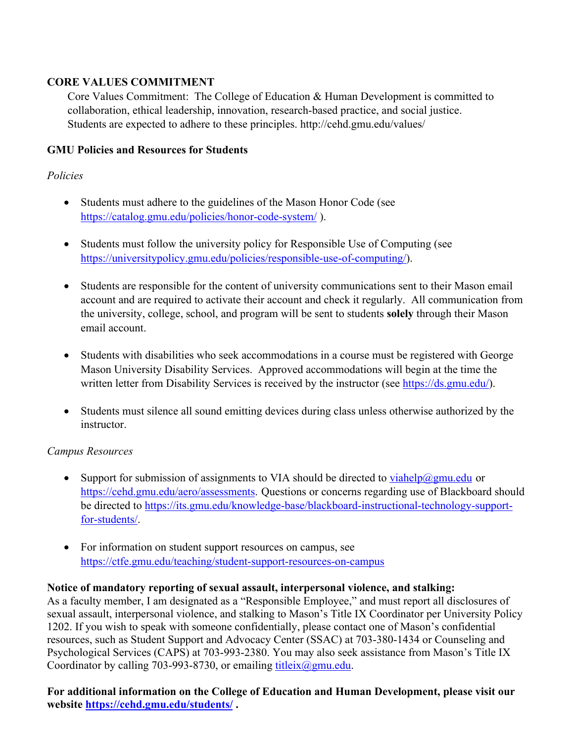### **CORE VALUES COMMITMENT**

Core Values Commitment: The College of Education & Human Development is committed to collaboration, ethical leadership, innovation, research-based practice, and social justice. Students are expected to adhere to these principles. http://cehd.gmu.edu/values/

### **GMU Policies and Resources for Students**

### *Policies*

- Students must adhere to the guidelines of the Mason Honor Code (see https://catalog.gmu.edu/policies/honor-code-system/ ).
- Students must follow the university policy for Responsible Use of Computing (see https://universitypolicy.gmu.edu/policies/responsible-use-of-computing/).
- Students are responsible for the content of university communications sent to their Mason email account and are required to activate their account and check it regularly. All communication from the university, college, school, and program will be sent to students **solely** through their Mason email account.
- Students with disabilities who seek accommodations in a course must be registered with George Mason University Disability Services. Approved accommodations will begin at the time the written letter from Disability Services is received by the instructor (see https://ds.gmu.edu/).
- Students must silence all sound emitting devices during class unless otherwise authorized by the instructor.

### *Campus Resources*

- Support for submission of assignments to VIA should be directed to  $v$ iahelp@gmu.edu or https://cehd.gmu.edu/aero/assessments. Questions or concerns regarding use of Blackboard should be directed to https://its.gmu.edu/knowledge-base/blackboard-instructional-technology-supportfor-students/.
- For information on student support resources on campus, see https://ctfe.gmu.edu/teaching/student-support-resources-on-campus

### **Notice of mandatory reporting of sexual assault, interpersonal violence, and stalking:**

As a faculty member, I am designated as a "Responsible Employee," and must report all disclosures of sexual assault, interpersonal violence, and stalking to Mason's Title IX Coordinator per University Policy 1202. If you wish to speak with someone confidentially, please contact one of Mason's confidential resources, such as Student Support and Advocacy Center (SSAC) at 703-380-1434 or Counseling and Psychological Services (CAPS) at 703-993-2380. You may also seek assistance from Mason's Title IX Coordinator by calling 703-993-8730, or emailing titleix $@g$ gmu.edu.

**For additional information on the College of Education and Human Development, please visit our website https://cehd.gmu.edu/students/ .**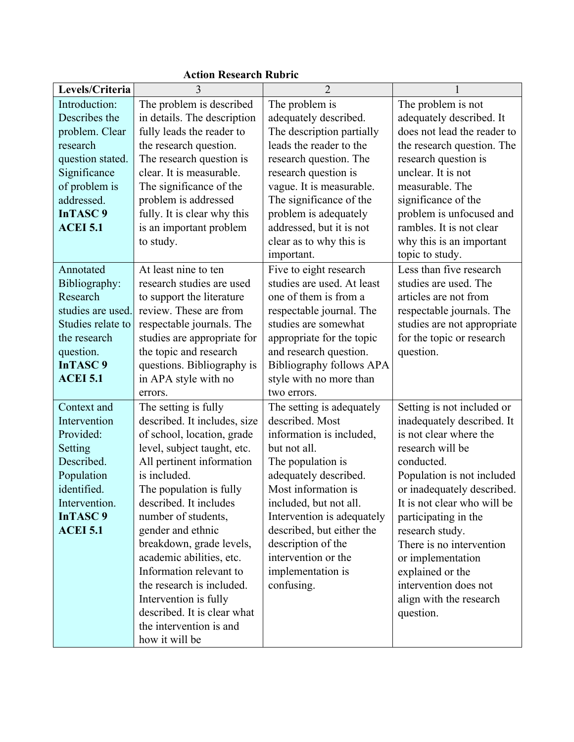| Levels/Criteria                                                                                                                                                       | 3                                                                                                                                                                                                                                                                                                                                                                                                                                                                                    | $\overline{2}$                                                                                                                                                                                                                                                                                                                     |                                                                                                                                                                                                                                                                                                                                                                                                  |
|-----------------------------------------------------------------------------------------------------------------------------------------------------------------------|--------------------------------------------------------------------------------------------------------------------------------------------------------------------------------------------------------------------------------------------------------------------------------------------------------------------------------------------------------------------------------------------------------------------------------------------------------------------------------------|------------------------------------------------------------------------------------------------------------------------------------------------------------------------------------------------------------------------------------------------------------------------------------------------------------------------------------|--------------------------------------------------------------------------------------------------------------------------------------------------------------------------------------------------------------------------------------------------------------------------------------------------------------------------------------------------------------------------------------------------|
| Introduction:<br>Describes the<br>problem. Clear<br>research<br>question stated.<br>Significance<br>of problem is<br>addressed.<br><b>InTASC 9</b><br><b>ACEI 5.1</b> | The problem is described<br>in details. The description<br>fully leads the reader to<br>the research question.<br>The research question is<br>clear. It is measurable.<br>The significance of the<br>problem is addressed<br>fully. It is clear why this<br>is an important problem<br>to study.                                                                                                                                                                                     | The problem is<br>adequately described.<br>The description partially<br>leads the reader to the<br>research question. The<br>research question is<br>vague. It is measurable.<br>The significance of the<br>problem is adequately<br>addressed, but it is not<br>clear as to why this is<br>important.                             | The problem is not<br>adequately described. It<br>does not lead the reader to<br>the research question. The<br>research question is<br>unclear. It is not<br>measurable. The<br>significance of the<br>problem is unfocused and<br>rambles. It is not clear<br>why this is an important<br>topic to study.                                                                                       |
| Annotated<br>Bibliography:<br>Research<br>studies are used.<br>Studies relate to<br>the research<br>question.<br><b>InTASC 9</b><br><b>ACEI 5.1</b>                   | At least nine to ten<br>research studies are used<br>to support the literature<br>review. These are from<br>respectable journals. The<br>studies are appropriate for<br>the topic and research<br>questions. Bibliography is<br>in APA style with no<br>errors.                                                                                                                                                                                                                      | Five to eight research<br>studies are used. At least<br>one of them is from a<br>respectable journal. The<br>studies are somewhat<br>appropriate for the topic<br>and research question.<br>Bibliography follows APA<br>style with no more than<br>two errors.                                                                     | Less than five research<br>studies are used. The<br>articles are not from<br>respectable journals. The<br>studies are not appropriate<br>for the topic or research<br>question.                                                                                                                                                                                                                  |
| Context and<br>Intervention<br>Provided:<br>Setting<br>Described.<br>Population<br>identified.<br>Intervention.<br><b>InTASC 9</b><br><b>ACEI 5.1</b>                 | The setting is fully<br>described. It includes, size<br>of school, location, grade<br>level, subject taught, etc.<br>All pertinent information<br>is included.<br>The population is fully<br>described. It includes<br>number of students,<br>gender and ethnic<br>breakdown, grade levels,<br>academic abilities, etc.<br>Information relevant to<br>the research is included.<br>Intervention is fully<br>described. It is clear what<br>the intervention is and<br>how it will be | The setting is adequately<br>described. Most<br>information is included,<br>but not all.<br>The population is<br>adequately described.<br>Most information is<br>included, but not all.<br>Intervention is adequately<br>described, but either the<br>description of the<br>intervention or the<br>implementation is<br>confusing. | Setting is not included or<br>inadequately described. It<br>is not clear where the<br>research will be<br>conducted.<br>Population is not included<br>or inadequately described.<br>It is not clear who will be<br>participating in the<br>research study.<br>There is no intervention<br>or implementation<br>explained or the<br>intervention does not<br>align with the research<br>question. |

# **Action Research Rubric**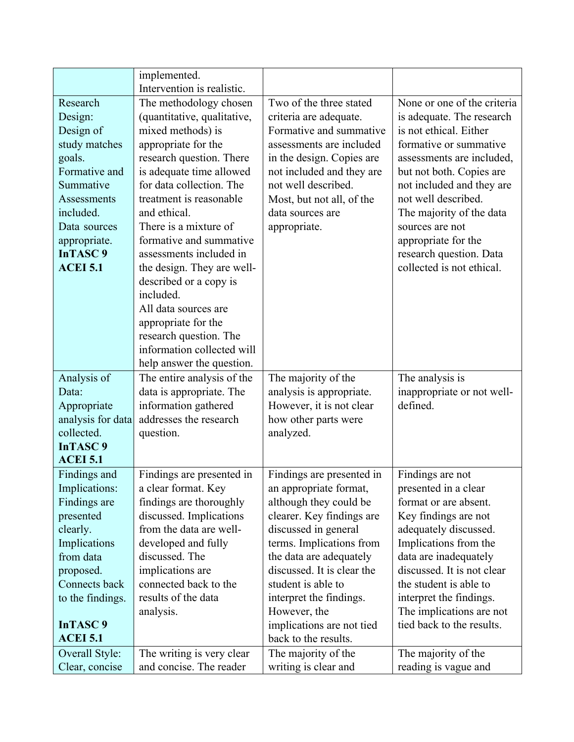|                               | implemented.<br>Intervention is realistic.     |                                                  |                                               |
|-------------------------------|------------------------------------------------|--------------------------------------------------|-----------------------------------------------|
| Research                      | The methodology chosen                         | Two of the three stated                          | None or one of the criteria                   |
| Design:                       | (quantitative, qualitative,                    | criteria are adequate.                           | is adequate. The research                     |
| Design of                     | mixed methods) is                              | Formative and summative                          | is not ethical. Either                        |
| study matches                 | appropriate for the                            | assessments are included                         | formative or summative                        |
| goals.                        | research question. There                       | in the design. Copies are                        | assessments are included,                     |
| Formative and                 | is adequate time allowed                       | not included and they are                        | but not both. Copies are                      |
| Summative                     | for data collection. The                       | not well described.                              | not included and they are                     |
| <b>Assessments</b>            | treatment is reasonable                        | Most, but not all, of the                        | not well described.                           |
| included.                     | and ethical.                                   | data sources are                                 | The majority of the data                      |
| Data sources                  | There is a mixture of                          | appropriate.                                     | sources are not                               |
| appropriate.                  | formative and summative                        |                                                  | appropriate for the                           |
| <b>InTASC9</b>                | assessments included in                        |                                                  | research question. Data                       |
| <b>ACEI 5.1</b>               | the design. They are well-                     |                                                  | collected is not ethical.                     |
|                               | described or a copy is                         |                                                  |                                               |
|                               | included.                                      |                                                  |                                               |
|                               | All data sources are                           |                                                  |                                               |
|                               | appropriate for the                            |                                                  |                                               |
|                               | research question. The                         |                                                  |                                               |
|                               | information collected will                     |                                                  |                                               |
|                               | help answer the question.                      |                                                  |                                               |
| Analysis of                   | The entire analysis of the                     | The majority of the                              | The analysis is                               |
| Data:                         | data is appropriate. The                       | analysis is appropriate.                         | inappropriate or not well-                    |
| Appropriate                   | information gathered                           | However, it is not clear                         | defined.                                      |
| analysis for data             | addresses the research                         | how other parts were                             |                                               |
| collected.                    | question.                                      | analyzed.                                        |                                               |
| <b>InTASC9</b>                |                                                |                                                  |                                               |
| <b>ACEI 5.1</b>               |                                                |                                                  |                                               |
| Findings and                  | Findings are presented in                      | Findings are presented in                        | Findings are not                              |
| Implications:<br>Findings are | a clear format. Key<br>findings are thoroughly | an appropriate format,<br>although they could be | presented in a clear<br>format or are absent. |
| presented                     | discussed. Implications                        | clearer. Key findings are                        | Key findings are not                          |
| clearly.                      | from the data are well-                        | discussed in general                             | adequately discussed.                         |
| Implications                  | developed and fully                            | terms. Implications from                         | Implications from the                         |
| from data                     | discussed. The                                 | the data are adequately                          | data are inadequately                         |
| proposed.                     | implications are                               | discussed. It is clear the                       | discussed. It is not clear                    |
| Connects back                 | connected back to the                          | student is able to                               | the student is able to                        |
| to the findings.              | results of the data                            | interpret the findings.                          | interpret the findings.                       |
|                               | analysis.                                      | However, the                                     | The implications are not                      |
| InTASC <sub>9</sub>           |                                                | implications are not tied                        | tied back to the results.                     |
|                               |                                                |                                                  |                                               |
| <b>ACEI 5.1</b>               |                                                | back to the results.                             |                                               |
| Overall Style:                | The writing is very clear                      | The majority of the                              | The majority of the                           |